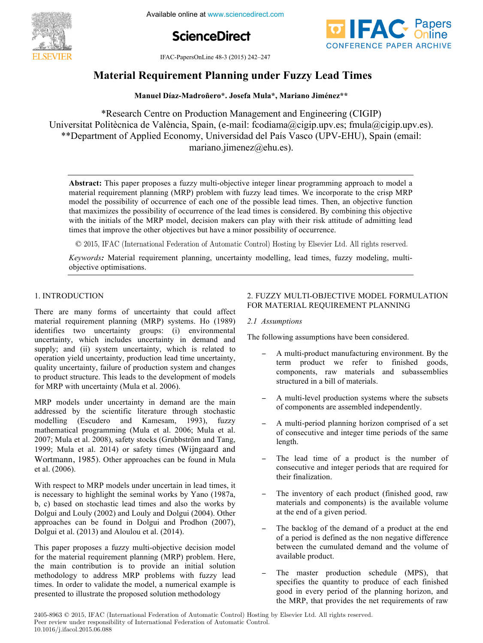

**ScienceDirect**



IFAC-PapersOnLine 48-3 (2015) 242–247

### **Material Requirement Planning under Fuzzy Lead Times Material Requirement Planning under Fuzzy Lead Times Material Requirement Planning under Fuzzy Lead Times**

**Manuel Díaz-Madroñero\*. Josefa Mula\*, Mariano Jiménez\*\* Manuel Díaz-Madroñero\*. Josefa Mula\*, Mariano Jiménez\*\***

\*Research Centre on Production Management and Engineering (CIGIP) \*Research Centre on Production Management and Engineering (CIGIP) Universitat Politècnica de València, Spain, (e-mail: fcodiama@cigip.upv.es; fmula@cigip.upv.es). \*\*Department of Applied Economy, Universidad del País Vasco (UPV-EHU), Spain (email: mariano.jimenez@ehu.es). mariano.jimenez@ehu.es).

**Abstract:** This paper proposes a fuzzy multi-objective integer linear programming approach to model a material requirement planning (MRP) problem with fuzzy lead times. We incorporate to the crisp MRP **Abstract:** This paper proposes a fuzzy multi-objective integer linear programming approach to model a material requirement planning (MRP) problem with fuzzy lead times. We incorporate to the crisp MRP model the possibility of occurrence of each one of the possible lead times. Then, an objective function moder the possibility of occurrence of each one of the possible lead times. Then, an objective function that maximizes the possibility of occurrence of the lead times is considered. By combining this objective that maximizes the possibility of occurrence of the read times is considered. By combining this objective with the initials of the MRP model, decision makers can play with their risk attitude of admitting lead times that improve the other objectives but have a minor possibility of occurrence. with the initials of the MRP model, decision makers can play with their risk attitude of admitting lead material requirement planning (MRP) problem with fuzzy lead times. We incorporate to the crisp MRP model the possibility of occurrence of each one of the possible lead times. Then, an objective function mat maximizes the possibility of occurrence of the lead times is considered. By combining this objective

 $\odot$  2015, IFAC (International Federation of Automatic Control) Hosting by Elsevier Ltd. All rights reserved.  $\odot$  2015. IFAC (International Federation of Automatic Control) Hosting by Elsevier I.

Keywords: Material requirement planning, uncertainty modelling, lead times, fuzzy modeling, multiobjective optimisations.

## 1. INTRODUCTION

There are many forms of uncertainty that could affect material requirement planning (MRP) systems. Ho (1989) identifies two uncertainty groups: (i) environmental uncertainty, which includes uncertainty in demand and supply; and (ii) system uncertainty, which is related to operation yield uncertainty, production lead time uncertainty, quality uncertainty, failure of production system and changes to product structure. This leads to the development of models for MRP with uncertainty (Mula et al. 2006). MRP models under uncertainty in demand are the main

MRP models under uncertainty in demand are the main addressed by the scientific literature through stochastic modelling (Escudero and Kamesam, 1993), fuzzy mathematical programming (Mula et al. 2006; Mula et al. 2007; Mula et al. 2008), safety stocks (Grubbström and Tang, 1999; Mula et al. 2014) or safety times (Wijngaard and Wortmann, 1985). Other approaches can be found in Mula  $\mathcal{C}$ t al. (2000). et al. (2006).

With respect to MRP models under uncertain in lead times, it is necessary to highlight the seminal works by Yano (1987a, b, c) based on stochastic lead times and also the works by Dolgui and Louly (2002) and Louly and Dolgui (2004). Other approaches can be found in Dolgui and Prodhon (2007), Dolgui et al. (2013) and Aloulou et al. (2014).  $W_{\rm eff}$  models uncertainty uncertainty in lead times, it must be uncertainty in lead times, it must be uncertainty in

This paper proposes a fuzzy multi-objective decision model for the material requirement planning (MRP) problem. Here, the main contribution is to provide an initial solution methodology to address MRP problems with fuzzy lead times. In order to validate the model, a numerical example is presented to illustrate the proposed solution methodology

 $T$  , and  $T$  is paper proposes a function model with decision model  $\alpha$ 

### 2. FUZZY MULTI-OBJECTIVE MODEL FORMULATION *2.1 Assumptions* FOR MATERIAL REQUIREMENT PLANNING

## The following assumptions have been considered. *2.1 Assumptions*

The following assumptions have been considered. The following assumptions have been considered.

- A multi-product manufacturing environment. By the − A multi-product manufacturing environment. By the term product we refer to finished goods, components, raw materials and subassemblies  $\frac{1}{2}$  and  $\frac{1}{2}$  multi-level production subsets.  $\mathcal{A} = \mathcal{A} \cup \mathcal{A}$  multi-product manufacturing environment. By the set of  $\mathcal{A}$ structured in a bill of materials.
- − A multi-level production systems where the subsets of components are assembled independently. − A multi-level production systems where the subsets
- − A multi-period planning horizon comprised of a set of consecutive and integer time periods of the same  $T_{\text{eff}}$  the number of a product is the number of a product is the number of a product is the number of  $T_{\text{eff}}$ length.
- − The lead time of a product is the number of consecutive and integer periods that are required for  $\mu$  The inventory of  $\mu$  in  $\mu$  is easily  $\mu$  and  $\mu$  and  $\mu$  and  $\mu$  and  $\mu$  and  $\mu$  and  $\mu$  and  $\mu$  and  $\mu$  and  $\mu$  and  $\mu$  and  $\mu$  and  $\mu$  and  $\mu$  and  $\mu$  and  $\mu$  and  $\mu$  and  $\mu$  and  $\mu$  and  $\mu$  their finalization.
- The inventory of each product (finished good, raw − The inventory of each product (finished good, raw materials and components) is the available volume at the end of a given period.
- The backlog of the demand of a product at the end − The backlog of the demand of a product at the end of a period is defined as the non negative difference between the cumulated demand and the volume of available product.
- The master production schedule (MPS), that − The master production schedule (MPS), that specifies the quantity to produce of each finished good in every period of the planning horizon, and the MRP, that provides the net requirements of raw

2405-8963 © 2015, IFAC (International Federation of Automatic Control) Hosting by Elsevier Ltd. All rights reserved. Peer review under responsibility of International Federation of Automatic Control. 10.1016/j.ifacol.2015.06.088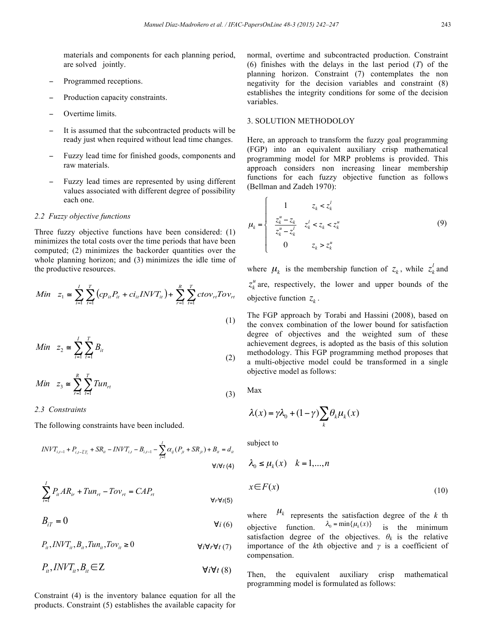materials and components for each planning period, are solved jointly.

- Programmed receptions.
- Production capacity constraints.
- − Overtime limits.
- It is assumed that the subcontracted products will be ready just when required without lead time changes.
- Fuzzy lead time for finished goods, components and raw materials.
- Fuzzy lead times are represented by using different values associated with different degree of possibility each one.

#### *2.2 Fuzzy objective functions*

Three fuzzy objective functions have been considered: (1) minimizes the total costs over the time periods that have been computed; (2) minimizes the backorder quantities over the whole planning horizon; and (3) minimizes the idle time of the productive resources.

$$
Min \t z_1 \approx \sum_{i=1}^{I} \sum_{t=1}^{T} (cp_{it}P_{it} + ci_{it}INVT_{it}) + \sum_{r=1}^{R} \sum_{t=1}^{T} ctov_{rt}Tov_{rt}
$$
\n(1)

$$
Min \t z_2 \approx \sum_{i=1}^{I} \sum_{i=1}^{T} B_{ii}
$$
 (2)

Min 
$$
z_3 \approx \sum_{r=1}^{R} \sum_{t=1}^{T} T u n_{rt}
$$
 (3)

#### *2.3 Constraints*

The following constraints have been included.

$$
INVT_{i,t-1} + P_{i,t-LT_i} + SR_{it} - INVT_{i,t} - B_{i,t-1} - \sum_{j=1}^{I} \alpha_{ij} (P_{jt} + SR_{jt}) + B_{it} = d_{it}
$$
  
 
$$
\forall i \forall t \ (4)
$$

$$
\sum_{i=1}^{I} P_{ii} AR_{ir} + Tun_{ri} - Tov_{ri} = CAP_{ri}
$$
\n
$$
\forall r \forall i(5)
$$

$$
B_{iT} = 0 \qquad \qquad \forall i (6)
$$

 $P_{ii}$ ,  $INVT_{ii}$ ,  $B_{ii}$ ,  $Tun_{ii}$ ,  $Tov_{ii} \ge 0$   $\forall i \forall t \ (7)$ 

$$
P_{ii}, \text{INV}T_{ii}, B_{ii} \in \mathbb{Z}
$$

Constraint (4) is the inventory balance equation for all the products. Constraint (5) establishes the available capacity for normal, overtime and subcontracted production. Constraint (6) finishes with the delays in the last period (*T*) of the planning horizon. Constraint (7) contemplates the non negativity for the decision variables and constraint (8) establishes the integrity conditions for some of the decision variables.

#### 3. SOLUTION METHODOLOY

 $\epsilon$ 

Here, an approach to transform the fuzzy goal programming (FGP) into an equivalent auxiliary crisp mathematical programming model for MRP problems is provided. This approach considers non increasing linear membership functions for each fuzzy objective function as follows (Bellman and Zadeh 1970):

$$
\mu_{k} = \begin{cases}\n1 & z_{k} < z_{k}^{l} \\
\frac{z_{k}^{u} - z_{k}}{z_{k}^{u} - z_{k}^{l}} & z_{k}^{l} < z_{k} < z_{k}^{u} \\
0 & z_{k} > z_{k}^{u}\n\end{cases} \tag{9}
$$

where  $\mu_k$  is the membership function of  $z_k$ , while  $z_k^l$  and  $z_k^u$  are, respectively, the lower and upper bounds of the objective function  $z_k$ .

The FGP approach by Torabi and Hassini (2008), based on the convex combination of the lower bound for satisfaction degree of objectives and the weighted sum of these achievement degrees, is adopted as the basis of this solution methodology. This FGP programming method proposes that a multi-objective model could be transformed in a single objective model as follows:

Max

$$
\lambda(x) = \gamma \lambda_0 + (1 - \gamma) \sum_{k} \theta_k \mu_k(x)
$$

subject to

$$
\lambda_0 \le \mu_k(x) \quad k = 1, \dots, n
$$
  

$$
x \in F(x) \tag{10}
$$

where  $\mu_k$  represents the satisfaction degree of the *k* th objective function.  $\lambda_0 = \min\{\mu_k(x)\}$  is the minimum satisfaction degree of the objectives.  $\theta_k$  is the relative importance of the *k*th objective and *γ* is a coefficient of compensation.

Then, the equivalent auxiliary crisp mathematical programming model is formulated as follows: